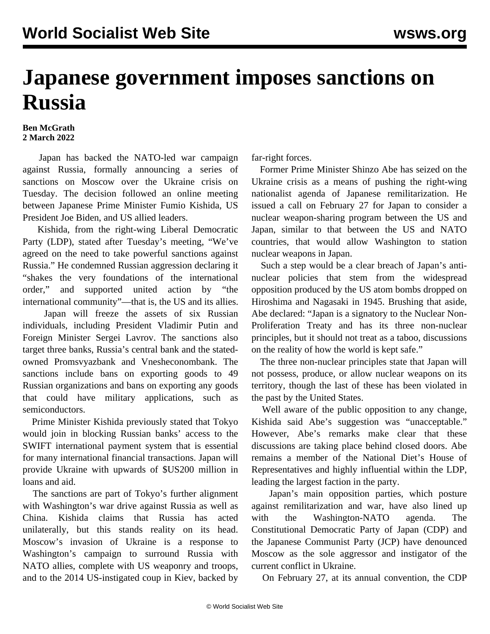## **Japanese government imposes sanctions on Russia**

## **Ben McGrath 2 March 2022**

 Japan has backed the NATO-led war campaign against Russia, formally announcing a series of sanctions on Moscow over the Ukraine crisis on Tuesday. The decision followed an online meeting between Japanese Prime Minister Fumio Kishida, US President Joe Biden, and US allied leaders.

 Kishida, from the right-wing Liberal Democratic Party (LDP), stated after Tuesday's meeting, "We've agreed on the need to take powerful sanctions against Russia." He condemned Russian aggression declaring it "shakes the very foundations of the international order," and supported united action by "the international community"—that is, the US and its allies.

 Japan will freeze the assets of six Russian individuals, including President Vladimir Putin and Foreign Minister Sergei Lavrov. The sanctions also target three banks, Russia's central bank and the statedowned Promsvyazbank and Vnesheconombank. The sanctions include bans on exporting goods to 49 Russian organizations and bans on exporting any goods that could have military applications, such as semiconductors.

 Prime Minister Kishida previously stated that Tokyo would join in blocking Russian banks' access to the SWIFT international payment system that is essential for many international financial transactions. Japan will provide Ukraine with upwards of \$US200 million in loans and aid.

 The sanctions are part of Tokyo's further alignment with Washington's war drive against Russia as well as China. Kishida claims that Russia has acted unilaterally, but this stands reality on its head. Moscow's invasion of Ukraine is a response to Washington's campaign to surround Russia with NATO allies, complete with US weaponry and troops, and to the 2014 US-instigated coup in Kiev, backed by

far-right forces.

 Former Prime Minister Shinzo Abe has seized on the Ukraine crisis as a means of pushing the right-wing nationalist agenda of Japanese remilitarization. He issued a call on February 27 for Japan to consider a nuclear weapon-sharing program between the US and Japan, similar to that between the US and NATO countries, that would allow Washington to station nuclear weapons in Japan.

 Such a step would be a clear breach of Japan's antinuclear policies that stem from the widespread opposition produced by the US atom bombs dropped on Hiroshima and Nagasaki in 1945. Brushing that aside, Abe declared: "Japan is a signatory to the Nuclear Non-Proliferation Treaty and has its three non-nuclear principles, but it should not treat as a taboo, discussions on the reality of how the world is kept safe."

 The three non-nuclear principles state that Japan will not possess, produce, or allow nuclear weapons on its territory, though the last of these has been violated in the past by the United States.

 Well aware of the public opposition to any change, Kishida said Abe's suggestion was "unacceptable." However, Abe's remarks make clear that these discussions are taking place behind closed doors. Abe remains a member of the National Diet's House of Representatives and highly influential within the LDP, leading the largest faction in the party.

 Japan's main opposition parties, which posture against remilitarization and war, have also lined up with the Washington-NATO agenda. The Constitutional Democratic Party of Japan (CDP) and the Japanese Communist Party (JCP) have denounced Moscow as the sole aggressor and instigator of the current conflict in Ukraine.

On February 27, at its annual convention, the CDP